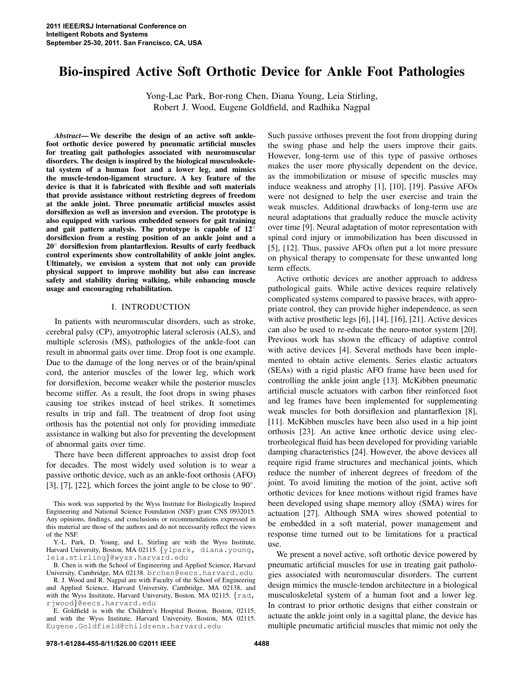# Bio-inspired Active Soft Orthotic Device for Ankle Foot Pathologies

Yong-Lae Park, Bor-rong Chen, Diana Young, Leia Stirling, Robert J. Wood, Eugene Goldfield, and Radhika Nagpal

*Abstract*— We describe the design of an active soft anklefoot orthotic device powered by pneumatic artificial muscles for treating gait pathologies associated with neuromuscular disorders. The design is inspired by the biological musculoskeletal system of a human foot and a lower leg, and mimics the muscle-tendon-ligament structure. A key feature of the device is that it is fabricated with flexible and soft materials that provide assistance without restricting degrees of freedom at the ankle joint. Three pneumatic artificial muscles assist dorsiflexion as well as inversion and eversion. The prototype is also equipped with various embedded sensors for gait training and gait pattern analysis. The prototype is capable of 12° dorsiflexion from a resting position of an ankle joint and a 20◦ dorsiflexion from plantarflexion. Results of early feedback control experiments show controllability of ankle joint angles. Ultimately, we envision a system that not only can provide physical support to improve mobility but also can increase safety and stability during walking, while enhancing muscle usage and encouraging rehabilitation.

## I. INTRODUCTION

In patients with neuromuscular disorders, such as stroke, cerebral palsy (CP), amyotrophic lateral sclerosis (ALS), and multiple sclerosis (MS), pathologies of the ankle-foot can result in abnormal gaits over time. Drop foot is one example. Due to the damage of the long nerves or of the brain/spinal cord, the anterior muscles of the lower leg, which work for dorsiflexion, become weaker while the posterior muscles become stiffer. As a result, the foot drops in swing phases causing toe strikes instead of heel strikes. It sometimes results in trip and fall. The treatment of drop foot using orthosis has the potential not only for providing immediate assistance in walking but also for preventing the development of abnormal gaits over time.

There have been different approaches to assist drop foot for decades. The most widely used solution is to wear a passive orthotic device, such as an ankle-foot orthosis (AFO) [3], [7], [22], which forces the joint angle to be close to 90°.

Such passive orthoses prevent the foot from dropping during the swing phase and help the users improve their gaits. However, long-term use of this type of passive orthoses makes the user more physically dependent on the device, as the immobilization or misuse of specific muscles may induce weakness and atrophy [1], [10], [19]. Passive AFOs were not designed to help the user exercise and train the weak muscles. Additional drawbacks of long-term use are neural adaptations that gradually reduce the muscle activity over time [9]. Neural adaptation of motor representation with spinal cord injury or immobilization has been discussed in [5], [12]. Thus, passive AFOs often put a lot more pressure on physical therapy to compensate for these unwanted long term effects.

Active orthotic devices are another approach to address pathological gaits. While active devices require relatively complicated systems compared to passive braces, with appropriate control, they can provide higher independence, as seen with active prosthetic legs [6], [14], [16], [21]. Active devices can also be used to re-educate the neuro-motor system [20]. Previous work has shown the efficacy of adaptive control with active devices [4]. Several methods have been implemented to obtain active elements. Series elastic actuators (SEAs) with a rigid plastic AFO frame have been used for controlling the ankle joint angle [13]. McKibben pneumatic artificial muscle actuators with carbon fiber reinforced foot and leg frames have been implemented for supplementing weak muscles for both dorsiflexion and plantarflexion [8], [11]. McKibben muscles have been also used in a hip joint orthosis [23]. An active knee orthotic device using electrorheolegical fluid has been developed for providing variable damping characteristics [24]. However, the above devices all require rigid frame structures and mechanical joints, which reduce the number of inherent degrees of freedom of the joint. To avoid limiting the motion of the joint, active soft orthotic devices for knee motions without rigid frames have been developed using shape memory alloy (SMA) wires for actuation [27]. Although SMA wires showed potential to be embedded in a soft material, power management and response time turned out to be limitations for a practical use.

We present a novel active, soft orthotic device powered by pneumatic artificial muscles for use in treating gait pathologies associated with neuromuscular disorders. The current design mimics the muscle-tendon architecture in a biological musculoskeletal system of a human foot and a lower leg. In contrast to prior orthotic designs that either constrain or actuate the ankle joint only in a sagittal plane, the device has multiple pneumatic artificial muscles that mimic not only the

This work was supported by the Wyss Institute for Biologically Inspired Engineering and National Science Foundation (NSF) grant CNS 0932015. Any opinions, findings, and conclusions or recommendations expressed in this material are those of the authors and do not necessarily reflect the views of the NSF.

Y.-L. Park, D. Young, and L. Stirling are with the Wyss Institute, Harvard University, Boston, MA 02115. {ylpark, diana.young, leia.stirling}@wyss.harvard.edu

B. Chen is with the School of Engineering and Applied Science, Harvard University, Cambridge, MA 02138. brchen@eecs.harvard.edu

R. J. Wood and R. Nagpal are with Faculty of the School of Engineering and Applied Science, Harvard University, Cambridge, MA 02138, and with the Wyss Insititute, Harvard University, Boston, MA 02115.  $\{rad,$ rjwood}@eecs.harvard.edu

E. Goldfield is with the Children's Hospital Boston, Boston, 02115, and with the Wyss Institute, Harvard University, Boston, MA 02115. Eugene.Goldfield@childrens.harvard.edu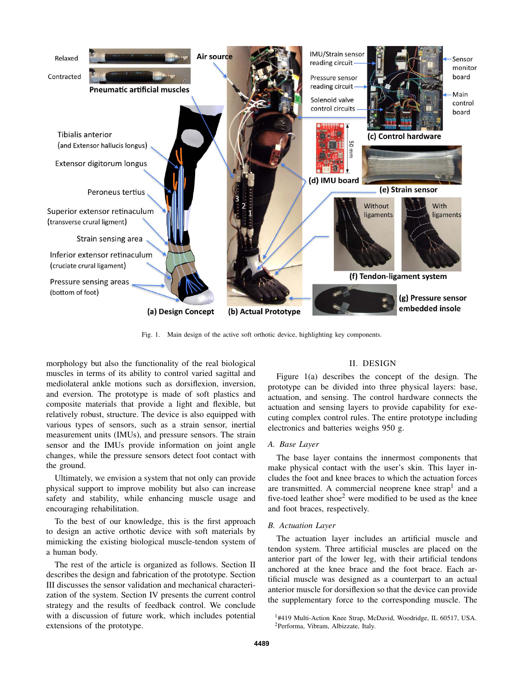

Fig. 1. Main design of the active soft orthotic device, highlighting key components.

morphology but also the functionality of the real biological muscles in terms of its ability to control varied sagittal and mediolateral ankle motions such as dorsiflexion, inversion, and eversion. The prototype is made of soft plastics and composite materials that provide a light and flexible, but relatively robust, structure. The device is also equipped with various types of sensors, such as a strain sensor, inertial measurement units (IMUs), and pressure sensors. The strain sensor and the IMUs provide information on joint angle changes, while the pressure sensors detect foot contact with the ground.

Ultimately, we envision a system that not only can provide physical support to improve mobility but also can increase safety and stability, while enhancing muscle usage and encouraging rehabilitation.

To the best of our knowledge, this is the first approach to design an active orthotic device with soft materials by mimicking the existing biological muscle-tendon system of a human body.

The rest of the article is organized as follows. Section II describes the design and fabrication of the prototype. Section III discusses the sensor validation and mechanical characterization of the system. Section IV presents the current control strategy and the results of feedback control. We conclude with a discussion of future work, which includes potential extensions of the prototype.

# II. DESIGN

Figure 1(a) describes the concept of the design. The prototype can be divided into three physical layers: base, actuation, and sensing. The control hardware connects the actuation and sensing layers to provide capability for executing complex control rules. The entire prototype including electronics and batteries weighs 950 g.

## *A. Base Layer*

The base layer contains the innermost components that make physical contact with the user's skin. This layer includes the foot and knee braces to which the actuation forces are transmitted. A commercial neoprene knee strap<sup>1</sup> and a five-toed leather shoe<sup>2</sup> were modified to be used as the knee and foot braces, respectively.

# *B. Actuation Layer*

The actuation layer includes an artificial muscle and tendon system. Three artificial muscles are placed on the anterior part of the lower leg, with their artificial tendons anchored at the knee brace and the foot brace. Each artificial muscle was designed as a counterpart to an actual anterior muscle for dorsiflexion so that the device can provide the supplementary force to the corresponding muscle. The

<sup>&</sup>lt;sup>1</sup>#419 Multi-Action Knee Strap, McDavid, Woodridge, IL 60517, USA. <sup>2</sup>Performa, Vibram, Albizzate, Italy.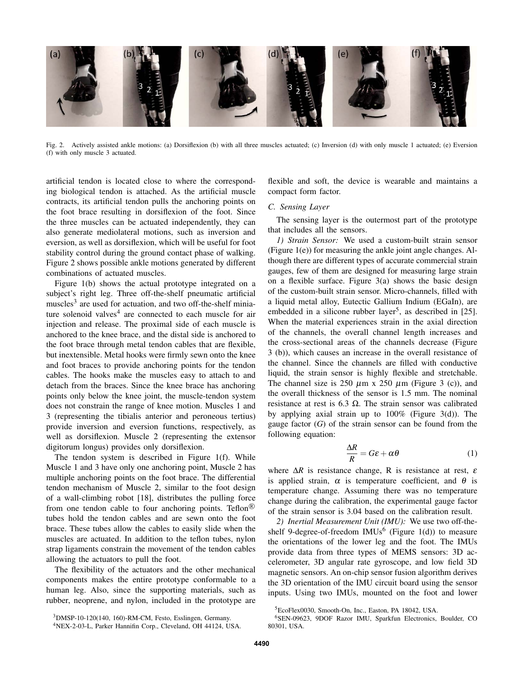

Fig. 2. Actively assisted ankle motions: (a) Dorsiflexion (b) with all three muscles actuated; (c) Inversion (d) with only muscle 1 actuated; (e) Eversion (f) with only muscle 3 actuated.

artificial tendon is located close to where the corresponding biological tendon is attached. As the artificial muscle contracts, its artificial tendon pulls the anchoring points on the foot brace resulting in dorsiflexion of the foot. Since the three muscles can be actuated independently, they can also generate mediolateral motions, such as inversion and eversion, as well as dorsiflexion, which will be useful for foot stability control during the ground contact phase of walking. Figure 2 shows possible ankle motions generated by different combinations of actuated muscles.

Figure 1(b) shows the actual prototype integrated on a subject's right leg. Three off-the-shelf pneumatic artificial muscles<sup>3</sup> are used for actuation, and two off-the-shelf miniature solenoid valves<sup>4</sup> are connected to each muscle for air injection and release. The proximal side of each muscle is anchored to the knee brace, and the distal side is anchored to the foot brace through metal tendon cables that are flexible, but inextensible. Metal hooks were firmly sewn onto the knee and foot braces to provide anchoring points for the tendon cables. The hooks make the muscles easy to attach to and detach from the braces. Since the knee brace has anchoring points only below the knee joint, the muscle-tendon system does not constrain the range of knee motion. Muscles 1 and 3 (representing the tibialis anterior and peroneous tertius) provide inversion and eversion functions, respectively, as well as dorsiflexion. Muscle 2 (representing the extensor digitorum longus) provides only dorsiflexion.

The tendon system is described in Figure 1(f). While Muscle 1 and 3 have only one anchoring point, Muscle 2 has multiple anchoring points on the foot brace. The differential tendon mechanism of Muscle 2, similar to the foot design of a wall-climbing robot [18], distributes the pulling force from one tendon cable to four anchoring points. Teflon<sup>®</sup> tubes hold the tendon cables and are sewn onto the foot brace. These tubes allow the cables to easily slide when the muscles are actuated. In addition to the teflon tubes, nylon strap ligaments constrain the movement of the tendon cables allowing the actuators to pull the foot.

The flexibility of the actuators and the other mechanical components makes the entire prototype conformable to a human leg. Also, since the supporting materials, such as rubber, neoprene, and nylon, included in the prototype are

flexible and soft, the device is wearable and maintains a compact form factor.

## *C. Sensing Layer*

The sensing layer is the outermost part of the prototype that includes all the sensors.

*1) Strain Sensor:* We used a custom-built strain sensor (Figure 1(e)) for measuring the ankle joint angle changes. Although there are different types of accurate commercial strain gauges, few of them are designed for measuring large strain on a flexible surface. Figure  $3(a)$  shows the basic design of the custom-built strain sensor. Micro-channels, filled with a liquid metal alloy, Eutectic Gallium Indium (EGaIn), are embedded in a silicone rubber layer<sup>5</sup>, as described in  $[25]$ . When the material experiences strain in the axial direction of the channels, the overall channel length increases and the cross-sectional areas of the channels decrease (Figure 3 (b)), which causes an increase in the overall resistance of the channel. Since the channels are filled with conductive liquid, the strain sensor is highly flexible and stretchable. The channel size is 250  $\mu$ m x 250  $\mu$ m (Figure 3 (c)), and the overall thickness of the sensor is 1.5 mm. The nominal resistance at rest is 6.3 Ω. The strain sensor was calibrated by applying axial strain up to 100% (Figure 3(d)). The gauge factor (*G*) of the strain sensor can be found from the following equation:

$$
\frac{\Delta R}{R} = G\varepsilon + \alpha \theta \tag{1}
$$

where  $\Delta R$  is resistance change, R is resistance at rest,  $\varepsilon$ is applied strain,  $\alpha$  is temperature coefficient, and  $\theta$  is temperature change. Assuming there was no temperature change during the calibration, the experimental gauge factor of the strain sensor is 3.04 based on the calibration result.

*2) Inertial Measurement Unit (IMU):* We use two off-theshelf 9-degree-of-freedom  $IMUs^6$  (Figure 1(d)) to measure the orientations of the lower leg and the foot. The IMUs provide data from three types of MEMS sensors: 3D accelerometer, 3D angular rate gyroscope, and low field 3D magnetic sensors. An on-chip sensor fusion algorithm derives the 3D orientation of the IMU circuit board using the sensor inputs. Using two IMUs, mounted on the foot and lower

<sup>3</sup>DMSP-10-120(140, 160)-RM-CM, Festo, Esslingen, Germany.

<sup>4</sup>NEX-2-03-L, Parker Hannifin Corp., Cleveland, OH 44124, USA.

<sup>5</sup>EcoFlex0030, Smooth-On, Inc., Easton, PA 18042, USA.

<sup>6</sup>SEN-09623, 9DOF Razor IMU, Sparkfun Electronics, Boulder, CO 80301, USA.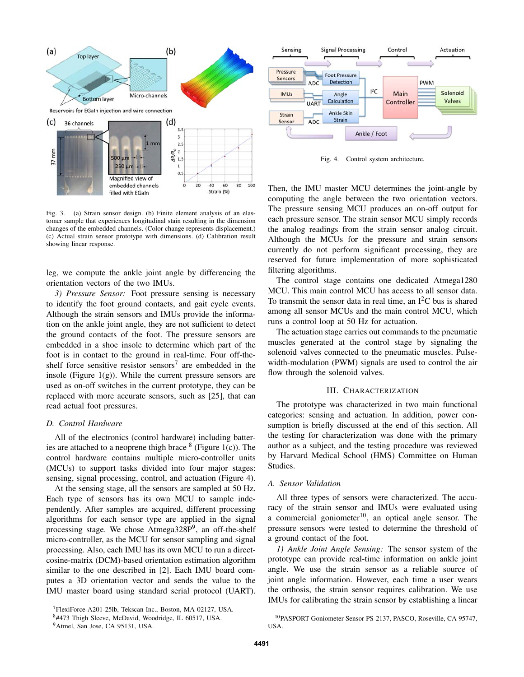

Fig. 3. (a) Strain sensor design. (b) Finite element analysis of an elastomer sample that experiences longitudinal stain resulting in the dimension changes of the embedded channels. (Color change represents displacement.) (c) Actual strain sensor prototype with dimensions. (d) Calibration result showing linear response.

leg, we compute the ankle joint angle by differencing the orientation vectors of the two IMUs.

*3) Pressure Sensor:* Foot pressure sensing is necessary to identify the foot ground contacts, and gait cycle events. Although the strain sensors and IMUs provide the information on the ankle joint angle, they are not sufficient to detect the ground contacts of the foot. The pressure sensors are embedded in a shoe insole to determine which part of the foot is in contact to the ground in real-time. Four off-theshelf force sensitive resistor sensors<sup>7</sup> are embedded in the insole (Figure  $1(g)$ ). While the current pressure sensors are used as on-off switches in the current prototype, they can be replaced with more accurate sensors, such as [25], that can read actual foot pressures.

#### *D. Control Hardware*

All of the electronics (control hardware) including batteries are attached to a neoprene thigh brace  $8$  (Figure 1(c)). The control hardware contains multiple micro-controller units (MCUs) to support tasks divided into four major stages: sensing, signal processing, control, and actuation (Figure 4).

At the sensing stage, all the sensors are sampled at 50 Hz. Each type of sensors has its own MCU to sample independently. After samples are acquired, different processing algorithms for each sensor type are applied in the signal processing stage. We chose Atmega328P<sup>9</sup>, an off-the-shelf micro-controller, as the MCU for sensor sampling and signal processing. Also, each IMU has its own MCU to run a directcosine-matrix (DCM)-based orientation estimation algorithm similar to the one described in [2]. Each IMU board computes a 3D orientation vector and sends the value to the IMU master board using standard serial protocol (UART).

<sup>9</sup>Atmel, San Jose, CA 95131, USA.



Fig. 4. Control system architecture.

Then, the IMU master MCU determines the joint-angle by computing the angle between the two orientation vectors. The pressure sensing MCU produces an on-off output for each pressure sensor. The strain sensor MCU simply records the analog readings from the strain sensor analog circuit. Although the MCUs for the pressure and strain sensors currently do not perform significant processing, they are reserved for future implementation of more sophisticated filtering algorithms.

The control stage contains one dedicated Atmega1280 MCU. This main control MCU has access to all sensor data. To transmit the sensor data in real time, an  $I<sup>2</sup>C$  bus is shared among all sensor MCUs and the main control MCU, which runs a control loop at 50 Hz for actuation.

The actuation stage carries out commands to the pneumatic muscles generated at the control stage by signaling the solenoid valves connected to the pneumatic muscles. Pulsewidth-modulation (PWM) signals are used to control the air flow through the solenoid valves.

## III. CHARACTERIZATION

The prototype was characterized in two main functional categories: sensing and actuation. In addition, power consumption is briefly discussed at the end of this section. All the testing for characterization was done with the primary author as a subject, and the testing procedure was reviewed by Harvard Medical School (HMS) Committee on Human Studies.

## *A. Sensor Validation*

All three types of sensors were characterized. The accuracy of the strain sensor and IMUs were evaluated using a commercial goniometer $10$ , an optical angle sensor. The pressure sensors were tested to determine the threshold of a ground contact of the foot.

*1) Ankle Joint Angle Sensing:* The sensor system of the prototype can provide real-time information on ankle joint angle. We use the strain sensor as a reliable source of joint angle information. However, each time a user wears the orthosis, the strain sensor requires calibration. We use IMUs for calibrating the strain sensor by establishing a linear

<sup>7</sup>FlexiForce-A201-25lb, Tekscan Inc., Boston, MA 02127, USA.

<sup>8</sup>#473 Thigh Sleeve, McDavid, Woodridge, IL 60517, USA.

<sup>10</sup>PASPORT Goniometer Sensor PS-2137, PASCO, Roseville, CA 95747, USA.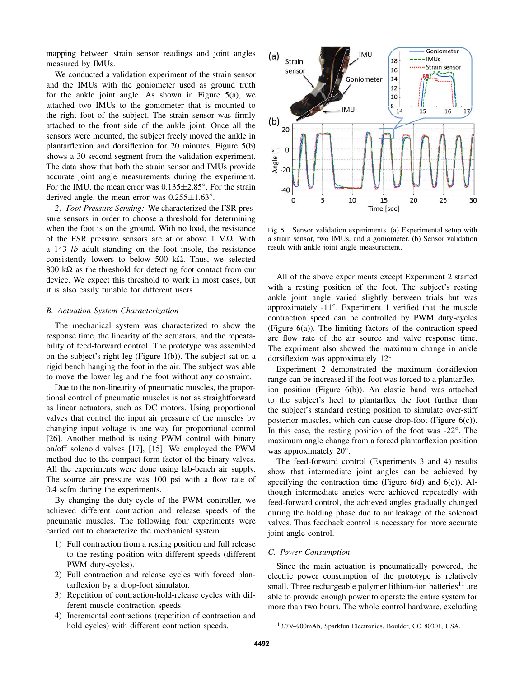mapping between strain sensor readings and joint angles measured by IMUs.

We conducted a validation experiment of the strain sensor and the IMUs with the goniometer used as ground truth for the ankle joint angle. As shown in Figure 5(a), we attached two IMUs to the goniometer that is mounted to the right foot of the subject. The strain sensor was firmly attached to the front side of the ankle joint. Once all the sensors were mounted, the subject freely moved the ankle in plantarflexion and dorsiflexion for 20 minutes. Figure 5(b) shows a 30 second segment from the validation experiment. The data show that both the strain sensor and IMUs provide accurate joint angle measurements during the experiment. For the IMU, the mean error was  $0.135 \pm 2.85^{\circ}$ . For the strain derived angle, the mean error was  $0.255 \pm 1.63^{\circ}$ .

*2) Foot Pressure Sensing:* We characterized the FSR pressure sensors in order to choose a threshold for determining when the foot is on the ground. With no load, the resistance of the FSR pressure sensors are at or above 1 MΩ. With a 143 *lb* adult standing on the foot insole, the resistance consistently lowers to below 500 kΩ. Thus, we selected 800 kΩ as the threshold for detecting foot contact from our device. We expect this threshold to work in most cases, but it is also easily tunable for different users.

#### *B. Actuation System Characterization*

The mechanical system was characterized to show the response time, the linearity of the actuators, and the repeatability of feed-forward control. The prototype was assembled on the subject's right leg (Figure 1(b)). The subject sat on a rigid bench hanging the foot in the air. The subject was able to move the lower leg and the foot without any constraint.

Due to the non-linearity of pneumatic muscles, the proportional control of pneumatic muscles is not as straightforward as linear actuators, such as DC motors. Using proportional valves that control the input air pressure of the muscles by changing input voltage is one way for proportional control [26]. Another method is using PWM control with binary on/off solenoid valves [17], [15]. We employed the PWM method due to the compact form factor of the binary valves. All the experiments were done using lab-bench air supply. The source air pressure was 100 psi with a flow rate of 0.4 scfm during the experiments.

By changing the duty-cycle of the PWM controller, we achieved different contraction and release speeds of the pneumatic muscles. The following four experiments were carried out to characterize the mechanical system.

- 1) Full contraction from a resting position and full release to the resting position with different speeds (different PWM duty-cycles).
- 2) Full contraction and release cycles with forced plantarflexion by a drop-foot simulator.
- 3) Repetition of contraction-hold-release cycles with different muscle contraction speeds.
- 4) Incremental contractions (repetition of contraction and hold cycles) with different contraction speeds.



Fig. 5. Sensor validation experiments. (a) Experimental setup with a strain sensor, two IMUs, and a goniometer. (b) Sensor validation result with ankle joint angle measurement.

All of the above experiments except Experiment 2 started with a resting position of the foot. The subject's resting ankle joint angle varied slightly between trials but was approximately -11◦ . Experiment 1 verified that the muscle contraction speed can be controlled by PWM duty-cycles (Figure 6(a)). The limiting factors of the contraction speed are flow rate of the air source and valve response time. The expriment also showed the maximum change in ankle dorsiflexion was approximately 12°.

Experiment 2 demonstrated the maximum dorsiflexion range can be increased if the foot was forced to a plantarflexion position (Figure 6(b)). An elastic band was attached to the subject's heel to plantarflex the foot further than the subject's standard resting position to simulate over-stiff posterior muscles, which can cause drop-foot (Figure 6(c)). In this case, the resting position of the foot was -22◦ . The maximum angle change from a forced plantarflexion position was approximately 20°.

The feed-forward control (Experiments 3 and 4) results show that intermediate joint angles can be achieved by specifying the contraction time (Figure  $6(d)$  and  $6(e)$ ). Although intermediate angles were achieved repeatedly with feed-forward control, the achieved angles gradually changed during the holding phase due to air leakage of the solenoid valves. Thus feedback control is necessary for more accurate joint angle control.

#### *C. Power Consumption*

Since the main actuation is pneumatically powered, the electric power consumption of the prototype is relatively small. Three rechargeable polymer lithium-ion batteries<sup>11</sup> are able to provide enough power to operate the entire system for more than two hours. The whole control hardware, excluding

<sup>11</sup>3.7V–900mAh, Sparkfun Electronics, Boulder, CO 80301, USA.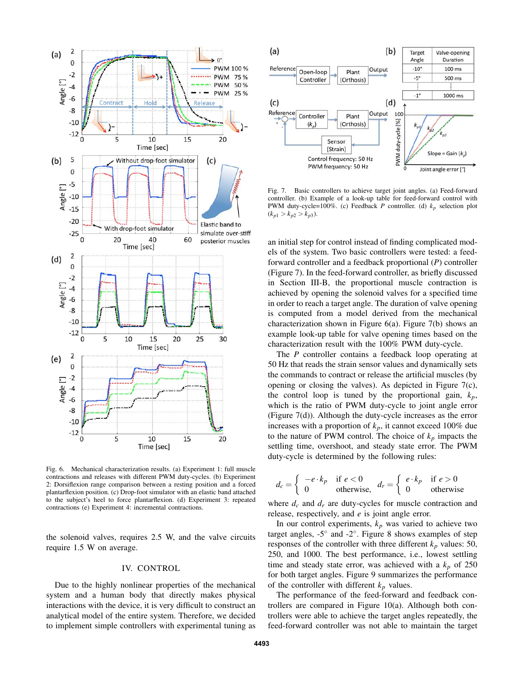

Fig. 6. Mechanical characterization results. (a) Experiment 1: full muscle contractions and releases with different PWM duty-cycles. (b) Experiment 2: Dorsiflexion range comparison between a resting position and a forced plantarflexion position. (c) Drop-foot simulator with an elastic band attached to the subject's heel to force plantarflexion. (d) Experiment 3: repeated contractions (e) Experiment 4: incremental contractions.

the solenoid valves, requires 2.5 W, and the valve circuits require 1.5 W on average.

## IV. CONTROL

Due to the highly nonlinear properties of the mechanical system and a human body that directly makes physical interactions with the device, it is very difficult to construct an analytical model of the entire system. Therefore, we decided to implement simple controllers with experimental tuning as



Fig. 7. Basic controllers to achieve target joint angles. (a) Feed-forward controller. (b) Example of a look-up table for feed-forward control with PWM duty-cycle=100%. (c) Feedback *P* controller. (d) *k<sup>p</sup>* selection plot  $(k_{p1} > k_{p2} > k_{p3}).$ 

an initial step for control instead of finding complicated models of the system. Two basic controllers were tested: a feedforward controller and a feedback proportional (*P*) controller (Figure 7). In the feed-forward controller, as briefly discussed in Section III-B, the proportional muscle contraction is achieved by opening the solenoid valves for a specified time in order to reach a target angle. The duration of valve opening is computed from a model derived from the mechanical characterization shown in Figure 6(a). Figure 7(b) shows an example look-up table for valve opening times based on the characterization result with the 100% PWM duty-cycle.

The *P* controller contains a feedback loop operating at 50 Hz that reads the strain sensor values and dynamically sets the commands to contract or release the artificial muscles (by opening or closing the valves). As depicted in Figure 7(c), the control loop is tuned by the proportional gain,  $k_p$ , which is the ratio of PWM duty-cycle to joint angle error (Figure 7(d)). Although the duty-cycle increases as the error increases with a proportion of *kp*, it cannot exceed 100% due to the nature of PWM control. The choice of  $k_p$  impacts the settling time, overshoot, and steady state error. The PWM duty-cycle is determined by the following rules:

$$
d_c = \begin{cases} -e \cdot k_p & \text{if } e < 0 \\ 0 & \text{otherwise,} \end{cases} \quad d_r = \begin{cases} e \cdot k_p & \text{if } e > 0 \\ 0 & \text{otherwise} \end{cases}
$$

where  $d_c$  and  $d_r$  are duty-cycles for muscle contraction and release, respectively, and *e* is joint angle error.

In our control experiments,  $k_p$  was varied to achieve two target angles,  $-5^\circ$  and  $-2^\circ$ . Figure 8 shows examples of step responses of the controller with three different  $k_p$  values: 50, 250, and 1000. The best performance, i.e., lowest settling time and steady state error, was achieved with a  $k_p$  of 250 for both target angles. Figure 9 summarizes the performance of the controller with different  $k_p$  values.

The performance of the feed-forward and feedback controllers are compared in Figure 10(a). Although both controllers were able to achieve the target angles repeatedly, the feed-forward controller was not able to maintain the target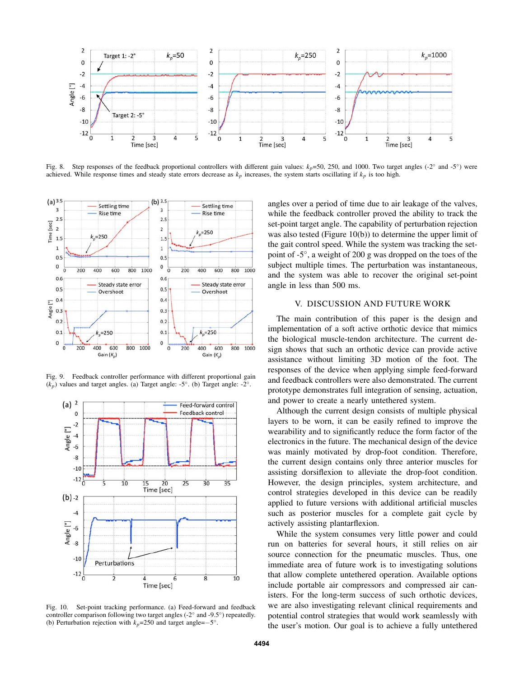

Fig. 8. Step responses of the feedback proportional controllers with different gain values:  $k_p$ =50, 250, and 1000. Two target angles (-2° and -5°) were achieved. While response times and steady state errors decrease as  $k_p$  increases, the system starts oscillating if  $k_p$  is too high.



Fig. 9. Feedback controller performance with different proportional gain  $(k_p)$  values and target angles. (a) Target angle: -5°. (b) Target angle: -2°.



Fig. 10. Set-point tracking performance. (a) Feed-forward and feedback controller comparison following two target angles (-2◦ and -9.5◦ ) repeatedly. (b) Perturbation rejection with  $k_p$ =250 and target angle=−5°.

angles over a period of time due to air leakage of the valves, while the feedback controller proved the ability to track the set-point target angle. The capability of perturbation rejection was also tested (Figure 10(b)) to determine the upper limit of the gait control speed. While the system was tracking the setpoint of -5◦ , a weight of 200 g was dropped on the toes of the subject multiple times. The perturbation was instantaneous, and the system was able to recover the original set-point angle in less than 500 ms.

# V. DISCUSSION AND FUTURE WORK

The main contribution of this paper is the design and implementation of a soft active orthotic device that mimics the biological muscle-tendon architecture. The current design shows that such an orthotic device can provide active assistance without limiting 3D motion of the foot. The responses of the device when applying simple feed-forward and feedback controllers were also demonstrated. The current prototype demonstrates full integration of sensing, actuation, and power to create a nearly untethered system.

Although the current design consists of multiple physical layers to be worn, it can be easily refined to improve the wearability and to significantly reduce the form factor of the electronics in the future. The mechanical design of the device was mainly motivated by drop-foot condition. Therefore, the current design contains only three anterior muscles for assisting dorsiflexion to alleviate the drop-foot condition. However, the design principles, system architecture, and control strategies developed in this device can be readily applied to future versions with additional artificial muscles such as posterior muscles for a complete gait cycle by actively assisting plantarflexion.

While the system consumes very little power and could run on batteries for several hours, it still relies on air source connection for the pneumatic muscles. Thus, one immediate area of future work is to investigating solutions that allow complete untethered operation. Available options include portable air compressors and compressed air canisters. For the long-term success of such orthotic devices, we are also investigating relevant clinical requirements and potential control strategies that would work seamlessly with the user's motion. Our goal is to achieve a fully untethered